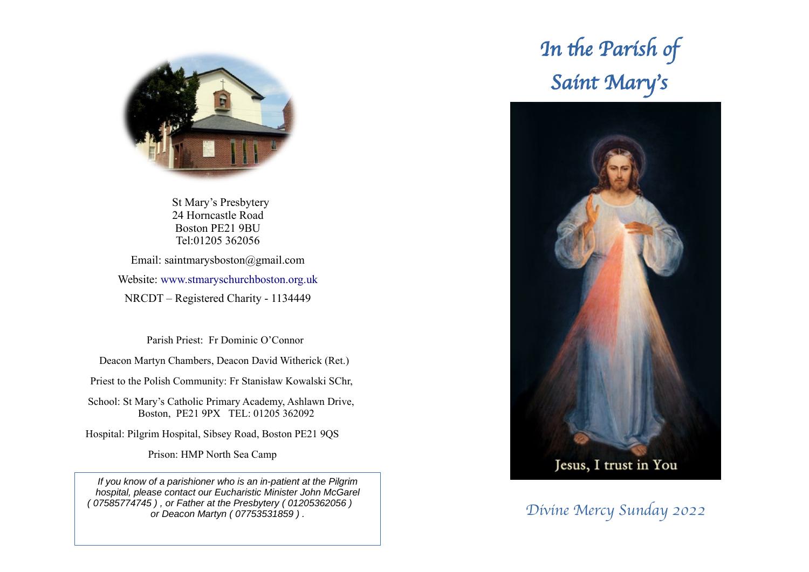

 St Mary's Presbytery 24 Horncastle Road Boston PE21 9BU Tel:01205 362056

Email: saintmarysboston@gmail.com Website: [www.stmaryschurchboston.org.uk](http://www.stmaryschurchboston.org.uk/) NRCDT – Registered Charity - 1134449

Parish Priest: Fr Dominic O'Connor

Deacon Martyn Chambers, Deacon David Witherick (Ret.)

Priest to the Polish Community: Fr Stanisław Kowalski SChr,

School: St Mary's Catholic Primary Academy, Ashlawn Drive, Boston, PE21 9PX TEL: 01205 362092

Hospital: Pilgrim Hospital, Sibsey Road, Boston PE21 9QS

Prison: HMP North Sea Camp

*If you know of a parishioner who is an in-patient at the Pilgrim hospital, please contact our Eucharistic Minister John McGarel ( 07585774745 ) , or Father at the Presbytery ( 01205362056 ) or Deacon Martyn ( 07753531859 ) .* Divine Mercy Sunday 2022

# In the Parish of Saint Mary's

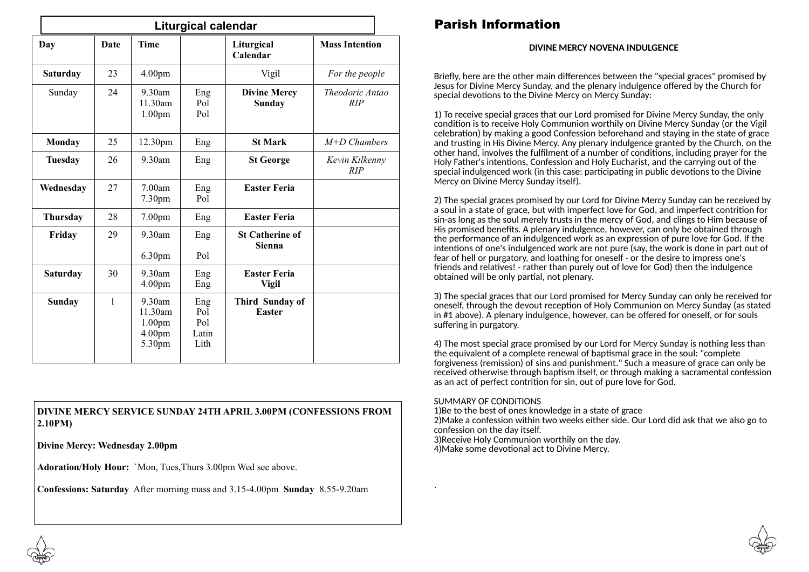| <b>Liturgical calendar</b> |              |                                                                |                                    |                                      |                        |
|----------------------------|--------------|----------------------------------------------------------------|------------------------------------|--------------------------------------|------------------------|
| Day                        | Date         | <b>Time</b>                                                    |                                    | Liturgical<br>Calendar               | <b>Mass Intention</b>  |
| <b>Saturday</b>            | 23           | 4.00pm                                                         |                                    | Vigil                                | For the people         |
| Sunday                     | 24           | $9.30$ am<br>11.30am<br>1.00 <sub>pm</sub>                     | Eng<br>Pol<br>Pol                  | <b>Divine Mercy</b><br><b>Sunday</b> | Theodoric Antao<br>RIP |
| Monday                     | 25           | 12.30pm                                                        | Eng                                | <b>St Mark</b>                       | $M+D$ Chambers         |
| <b>Tuesday</b>             | 26           | $9.30$ am                                                      | Eng                                | <b>St George</b>                     | Kevin Kilkenny<br>RIP  |
| Wednesday                  | 27           | 7.00am<br>7.30 <sub>pm</sub>                                   | Eng<br>Pol                         | <b>Easter Feria</b>                  |                        |
| <b>Thursday</b>            | 28           | 7.00 <sub>pm</sub>                                             | Eng                                | <b>Easter Feria</b>                  |                        |
| Friday                     | 29           | $9.30$ am<br>6.30pm                                            | Eng<br>Pol                         | <b>St Catherine of</b><br>Sienna     |                        |
| <b>Saturday</b>            | 30           | $9.30$ am<br>4.00 <sub>pm</sub>                                | Eng<br>Eng                         | <b>Easter Feria</b><br><b>Vigil</b>  |                        |
| Sunday                     | $\mathbf{1}$ | $9.30$ am<br>11.30am<br>1.00 <sub>pm</sub><br>4.00pm<br>5.30pm | Eng<br>Pol<br>Pol<br>Latin<br>Lith | Third Sunday of<br><b>Easter</b>     |                        |

#### **DIVINE MERCY SERVICE SUNDAY 24TH APRIL 3.00PM (CONFESSIONS FROM 2.10PM)**

**Divine Mercy: Wednesday 2.00pm**

**Adoration/Holy Hour:** `Mon, Tues,Thurs 3.00pm Wed see above.

**Confessions: Saturday** After morning mass and 3.15-4.00pm **Sunday** 8.55-9.20am

## Parish Information

#### **DIVINE MERCY NOVENA INDULGENCE**

Briefly, here are the other main differences between the "special graces" promised by Jesus for Divine Mercy Sunday, and the plenary indulgence offered by the Church for special devotions to the Divine Mercy on Mercy Sunday:

1) To receive special graces that our Lord promised for Divine Mercy Sunday, the only condition is to receive Holy Communion worthily on Divine Mercy Sunday (or the Vigil celebration) by making a good [Confession beforehand](https://www.thedivinemercy.org/celebrate/greatgrace/faqanswers10) and staying in the state of grace and trusting in His Divine Mercy. Any plenary indulgence granted by the Church, on the other hand, involves the fulfilment of a number of conditions, including prayer for the Holy Father's intentions, Confession and Holy Eucharist, and the carrying out of the special indulgenced work (in this case: participating in public devotions to the Divine Mercy on Divine Mercy Sunday itself).

2) The special graces promised by our Lord for Divine Mercy Sunday can be received by a soul in a state of grace, but with imperfect love for God, and imperfect contrition for sin-as long as the soul merely trusts in the mercy of God, and clings to Him because of His promised benefits. A plenary indulgence, however, can only be obtained through the performance of an indulgenced work as an expression of pure love for God. If the intentions of one's indulgenced work are not pure (say, the work is done in part out of fear of hell or purgatory, and loathing for oneself - or the desire to impress one's friends and relatives! - rather than purely out of love for God) then the indulgence obtained will be only partial, not plenary.

3) The special graces that our Lord promised for Mercy Sunday can only be received for oneself, through the devout reception of Holy Communion on Mercy Sunday (as stated in #1 above). A plenary indulgence, however, can be offered for oneself, or for souls suffering in purgatory.

4) The most special grace promised by our Lord for Mercy Sunday is nothing less than the equivalent of a complete renewal of baptismal grace in the soul: "complete forgiveness (remission) of sins and punishment." Such a measure of grace can only be received otherwise through baptism itself, or through making a sacramental confession as an act of perfect contrition for sin, out of pure love for God.

#### SUMMARY OF CONDITIONS

.

1)Be to the best of ones knowledge in a state of grace 2)Make a confession within two weeks either side. Our Lord did ask that we also go to confession on the day itself. 3)Receive Holy Communion worthily on the day.

4)Make some devotional act to Divine Mercy.



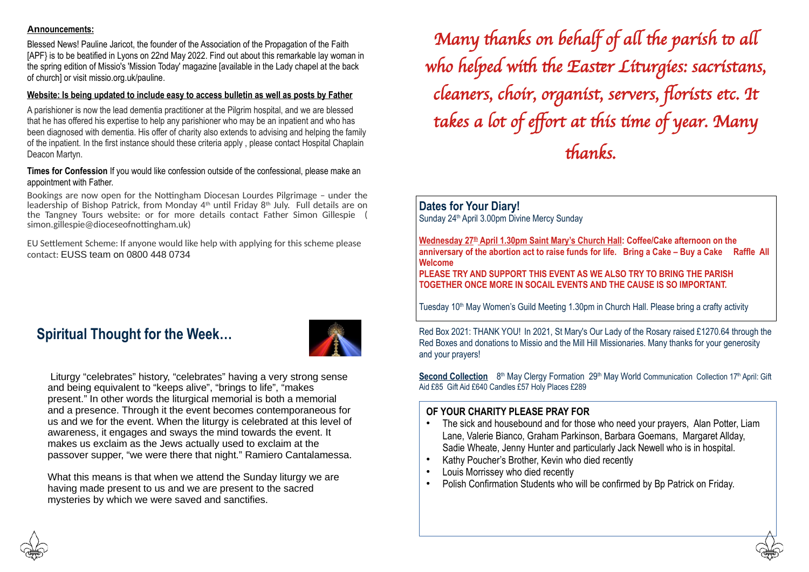#### **Announcements:**

Blessed News! Pauline Jaricot, the founder of the Association of the Propagation of the Faith [APF} is to be beatified in Lyons on 22nd May 2022. Find out about this remarkable lay woman in the spring edition of Missio's 'Mission Today' magazine [available in the Lady chapel at the back of church] or visit [missio.org.uk/pauline](http://missio.org.uk/pauline).

#### **Website: Is being updated to include easy to access bulletin as well as posts by Father**

A parishioner is now the lead dementia practitioner at the Pilgrim hospital, and we are blessed that he has offered his expertise to help any parishioner who may be an inpatient and who has been diagnosed with dementia. His offer of charity also extends to advising and helping the family of the inpatient. In the first instance should these criteria apply , please contact Hospital Chaplain Deacon Martyn.

#### **Times for Confession** If you would like confession outside of the confessional, please make an appointment with Father.

Bookings are now open for the Nottingham Diocesan Lourdes Pilgrimage – under the leadership of Bishop Patrick, from Monday 4th until Friday 8th July. Full details are on the Tangney Tours website: or for more details contact Father Simon Gillespie ( [simon.gillespie@dioceseofnottingham.uk\)](mailto:simon.gillespie@dioceseofnottingham.uk)

EU Settlement Scheme: If anyone would like help with applying for this scheme please contact: EUSS team on 0800 448 0734

## **Spiritual Thought for the Week…**



Liturgy "celebrates" history, "celebrates" having a very strong sense and being equivalent to "keeps alive", "brings to life", "makes present." In other words the liturgical memorial is both a memorial and a presence. Through it the event becomes contemporaneous for us and we for the event. When the liturgy is celebrated at this level of awareness, it engages and sways the mind towards the event. It makes us exclaim as the Jews actually used to exclaim at the passover supper, "we were there that night." Ramiero Cantalamessa.

What this means is that when we attend the Sunday liturgy we are having made present to us and we are present to the sacred mysteries by which we were saved and sanctifies.

Many thanks on behalf of all the parish to all who helped with the Easter Liturgies: sacristans, cleaners, choir, organist, servers, florists etc. It takes a lot of effort at this time of year. Many thanks.

### **Dates for Your Diary!**

Sunday 24<sup>th</sup> April 3.00pm Divine Mercy Sunday

**Wednesday 27th April 1.30pm Saint Mary's Church Hall: Coffee/Cake afternoon on the anniversary of the abortion act to raise funds for life. Bring a Cake – Buy a Cake Raffle All Welcome** 

**PLEASE TRY AND SUPPORT THIS EVENT AS WE ALSO TRY TO BRING THE PARISH TOGETHER ONCE MORE IN SOCAIL EVENTS AND THE CAUSE IS SO IMPORTANT.**

Tuesday 10<sup>th</sup> May Women's Guild Meeting 1.30pm in Church Hall. Please bring a crafty activity

Red Box 2021: THANK YOU! In 2021, St Mary's Our Lady of the Rosary raised £1270.64 through the Red Boxes and donations to Missio and the Mill Hill Missionaries. Many thanks for your generosity and your prayers!

**Second Collection** 8<sup>th</sup> May Clergy Formation 29<sup>th</sup> May World Communication Collection 17<sup>th</sup> April: Gift Aid £85 Gift Aid £640 Candles £57 Holy Places £289

#### **OF YOUR CHARITY PLEASE PRAY FOR**

- The sick and housebound and for those who need your prayers, Alan Potter, Liam Lane, Valerie Bianco, Graham Parkinson, Barbara Goemans, Margaret Allday, Sadie Wheate, Jenny Hunter and particularly Jack Newell who is in hospital.
- Kathy Poucher's Brother, Kevin who died recently
- Louis Morrissey who died recently
- Polish Confirmation Students who will be confirmed by Bp Patrick on Friday.